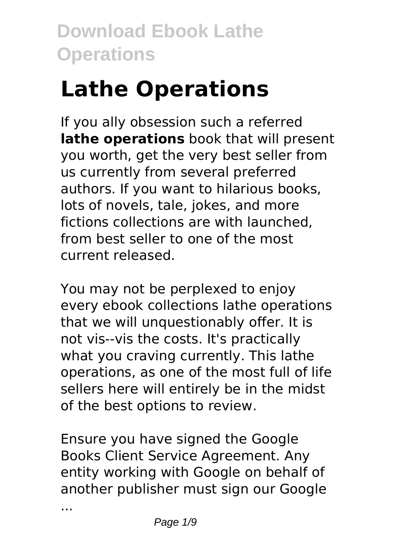# **Lathe Operations**

If you ally obsession such a referred **lathe operations** book that will present you worth, get the very best seller from us currently from several preferred authors. If you want to hilarious books, lots of novels, tale, jokes, and more fictions collections are with launched, from best seller to one of the most current released.

You may not be perplexed to enjoy every ebook collections lathe operations that we will unquestionably offer. It is not vis--vis the costs. It's practically what you craving currently. This lathe operations, as one of the most full of life sellers here will entirely be in the midst of the best options to review.

Ensure you have signed the Google Books Client Service Agreement. Any entity working with Google on behalf of another publisher must sign our Google

...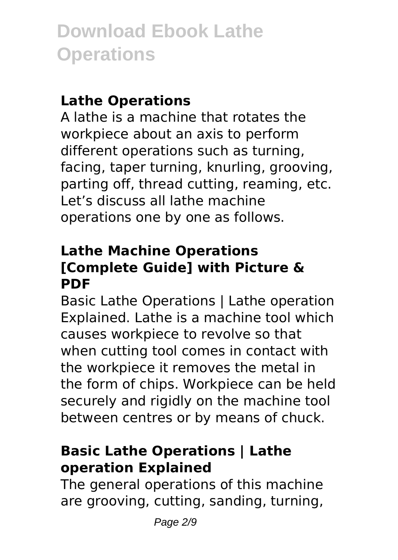### **Lathe Operations**

A lathe is a machine that rotates the workpiece about an axis to perform different operations such as turning, facing, taper turning, knurling, grooving, parting off, thread cutting, reaming, etc. Let's discuss all lathe machine operations one by one as follows.

### **Lathe Machine Operations [Complete Guide] with Picture & PDF**

Basic Lathe Operations | Lathe operation Explained. Lathe is a machine tool which causes workpiece to revolve so that when cutting tool comes in contact with the workpiece it removes the metal in the form of chips. Workpiece can be held securely and rigidly on the machine tool between centres or by means of chuck.

#### **Basic Lathe Operations | Lathe operation Explained**

The general operations of this machine are grooving, cutting, sanding, turning,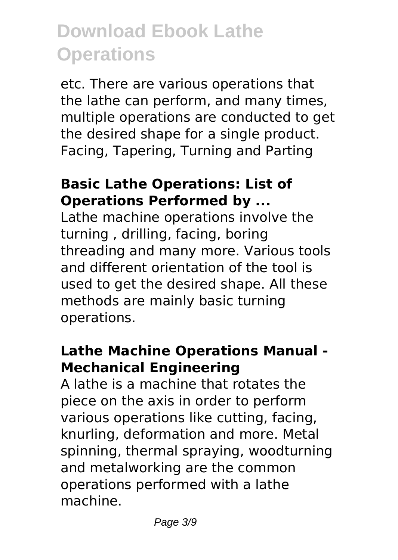etc. There are various operations that the lathe can perform, and many times, multiple operations are conducted to get the desired shape for a single product. Facing, Tapering, Turning and Parting

#### **Basic Lathe Operations: List of Operations Performed by ...**

Lathe machine operations involve the turning , drilling, facing, boring threading and many more. Various tools and different orientation of the tool is used to get the desired shape. All these methods are mainly basic turning operations.

### **Lathe Machine Operations Manual - Mechanical Engineering**

A lathe is a machine that rotates the piece on the axis in order to perform various operations like cutting, facing, knurling, deformation and more. Metal spinning, thermal spraying, woodturning and metalworking are the common operations performed with a lathe machine.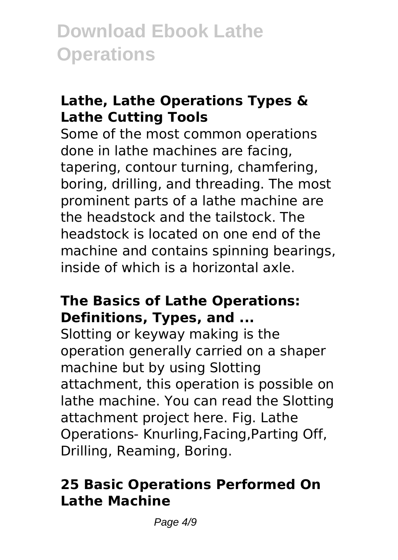### **Lathe, Lathe Operations Types & Lathe Cutting Tools**

Some of the most common operations done in lathe machines are facing, tapering, contour turning, chamfering, boring, drilling, and threading. The most prominent parts of a lathe machine are the headstock and the tailstock. The headstock is located on one end of the machine and contains spinning bearings, inside of which is a horizontal axle.

#### **The Basics of Lathe Operations: Definitions, Types, and ...**

Slotting or keyway making is the operation generally carried on a shaper machine but by using Slotting attachment, this operation is possible on lathe machine. You can read the Slotting attachment project here. Fig. Lathe Operations- Knurling,Facing,Parting Off, Drilling, Reaming, Boring.

### **25 Basic Operations Performed On Lathe Machine**

Page  $4/9$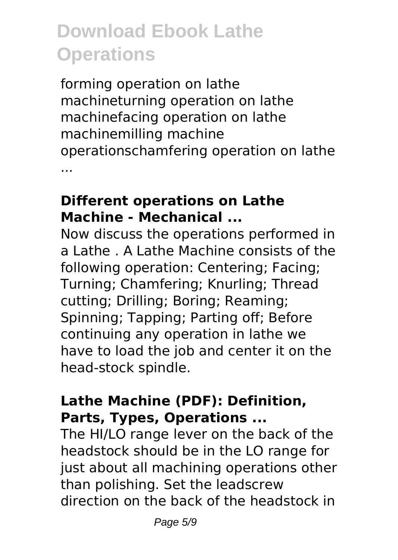forming operation on lathe machineturning operation on lathe machinefacing operation on lathe machinemilling machine operationschamfering operation on lathe ...

### **Different operations on Lathe Machine - Mechanical ...**

Now discuss the operations performed in a Lathe . A Lathe Machine consists of the following operation: Centering; Facing; Turning; Chamfering; Knurling; Thread cutting; Drilling; Boring; Reaming; Spinning; Tapping; Parting off; Before continuing any operation in lathe we have to load the job and center it on the head-stock spindle.

### **Lathe Machine (PDF): Definition, Parts, Types, Operations ...**

The HI/LO range lever on the back of the headstock should be in the LO range for just about all machining operations other than polishing. Set the leadscrew direction on the back of the headstock in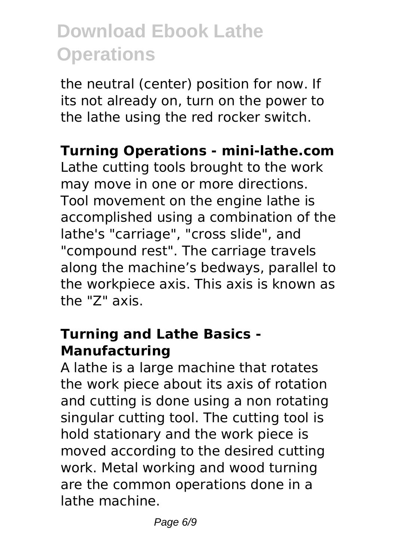the neutral (center) position for now. If its not already on, turn on the power to the lathe using the red rocker switch.

#### **Turning Operations - mini-lathe.com**

Lathe cutting tools brought to the work may move in one or more directions. Tool movement on the engine lathe is accomplished using a combination of the lathe's "carriage", "cross slide", and "compound rest". The carriage travels along the machine's bedways, parallel to the workpiece axis. This axis is known as the "Z" axis.

### **Turning and Lathe Basics - Manufacturing**

A lathe is a large machine that rotates the work piece about its axis of rotation and cutting is done using a non rotating singular cutting tool. The cutting tool is hold stationary and the work piece is moved according to the desired cutting work. Metal working and wood turning are the common operations done in a lathe machine.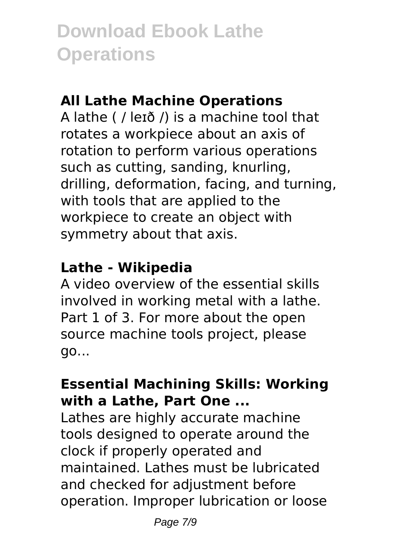### **All Lathe Machine Operations**

A lathe ( / leɪð /) is a machine tool that rotates a workpiece about an axis of rotation to perform various operations such as cutting, sanding, knurling, drilling, deformation, facing, and turning, with tools that are applied to the workpiece to create an object with symmetry about that axis.

### **Lathe - Wikipedia**

A video overview of the essential skills involved in working metal with a lathe. Part 1 of 3. For more about the open source machine tools project, please go...

### **Essential Machining Skills: Working with a Lathe, Part One ...**

Lathes are highly accurate machine tools designed to operate around the clock if properly operated and maintained. Lathes must be lubricated and checked for adjustment before operation. Improper lubrication or loose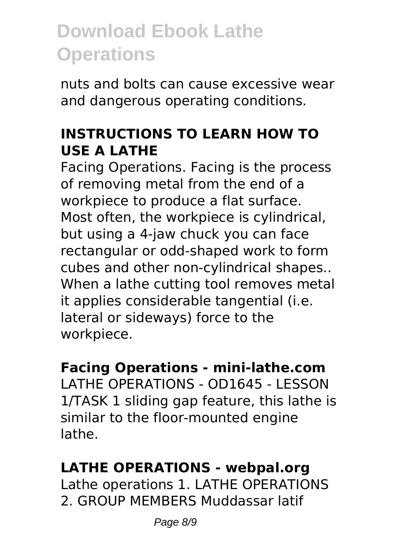nuts and bolts can cause excessive wear and dangerous operating conditions.

### **INSTRUCTIONS TO LEARN HOW TO USE A LATHE**

Facing Operations. Facing is the process of removing metal from the end of a workpiece to produce a flat surface. Most often, the workpiece is cylindrical, but using a 4-jaw chuck you can face rectangular or odd-shaped work to form cubes and other non-cylindrical shapes.. When a lathe cutting tool removes metal it applies considerable tangential (i.e. lateral or sideways) force to the workpiece.

### **Facing Operations - mini-lathe.com**

LATHE OPERATIONS - OD1645 - LESSON 1/TASK 1 sliding gap feature, this lathe is similar to the floor-mounted engine lathe.

### **LATHE OPERATIONS - webpal.org**

Lathe operations 1. LATHE OPERATIONS 2. GROUP MEMBERS Muddassar latif